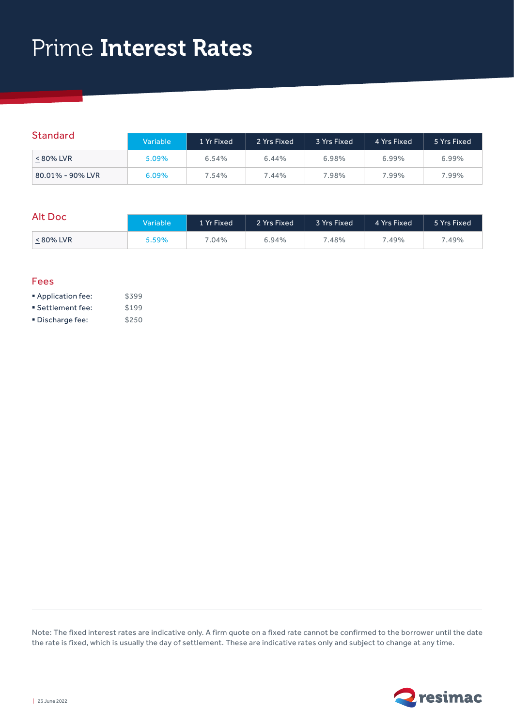# Prime Interest Rates

| <b>Standard</b>  | Variable | 1 Yr Fixed | 2 Yrs Fixed | 3 Yrs Fixed | 4 Yrs Fixed | 5 Yrs Fixed |
|------------------|----------|------------|-------------|-------------|-------------|-------------|
| < 80% LVR        | 5.09%    | 6.54%      | 6.44%       | 6.98%       | 6.99%       | 6.99%       |
| 80.01% - 90% LVR | 6.09%    | 7.54%      | 7.44%       | 7.98%       | 7.99%       | 7.99%       |

### $A$ <sup>I+</sup> Doc

| AIL DOC   | Variable | 1 Yr Fixed | 2 Yrs Fixed | 3 Yrs Fixed | 4 Yrs Fixed | 5 Yrs Fixed |
|-----------|----------|------------|-------------|-------------|-------------|-------------|
| < 80% LVR | 5.59%    | $.04\%$    | 6.94%       | .48%        | 7.49%       | 7.49%       |

#### Fees

| Application fee:  | \$399 |
|-------------------|-------|
| ■ Settlement fee: | \$199 |
| ■ Discharge fee:  | \$250 |

Note: The fixed interest rates are indicative only. A firm quote on a fixed rate cannot be confirmed to the borrower until the date the rate is fixed, which is usually the day of settlement. These are indicative rates only and subject to change at any time.

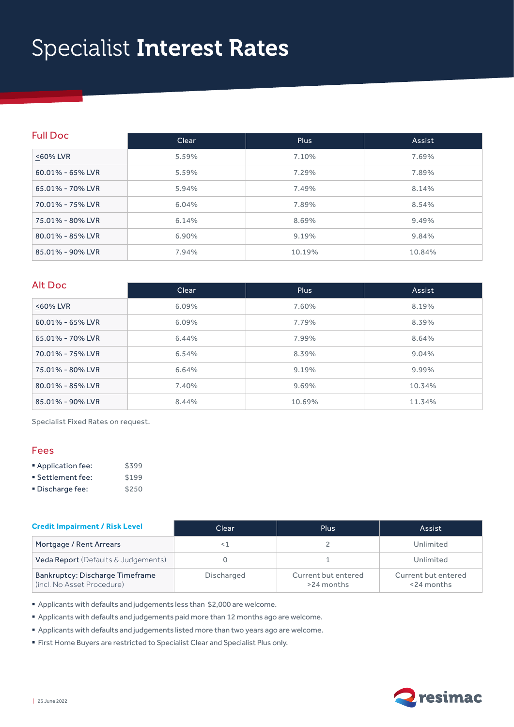# Specialist Interest Rates

| <b>Full Doc</b>  | Clear | <b>Plus</b> | Assist |  |
|------------------|-------|-------------|--------|--|
| <60% LVR         | 5.59% | 7.10%       | 7.69%  |  |
| 60.01% - 65% LVR | 5.59% | 7.29%       | 7.89%  |  |
| 65.01% - 70% LVR | 5.94% | 7.49%       | 8.14%  |  |
| 70.01% - 75% LVR | 6.04% | 7.89%       | 8.54%  |  |
| 75.01% - 80% LVR | 6.14% | 8.69%       | 9.49%  |  |
| 80.01% - 85% LVR | 6.90% | 9.19%       | 9.84%  |  |
| 85.01% - 90% LVR | 7.94% | 10.19%      | 10.84% |  |

#### Alt Doc

| AIL DOC          | Clear    | <b>Plus</b> | Assist |  |
|------------------|----------|-------------|--------|--|
| <60% LVR         | $6.09\%$ | 7.60%       | 8.19%  |  |
| 60.01% - 65% LVR | $6.09\%$ | 7.79%       | 8.39%  |  |
| 65.01% - 70% LVR | 6.44%    | 7.99%       | 8.64%  |  |
| 70.01% - 75% LVR | 6.54%    | 8.39%       | 9.04%  |  |
| 75.01% - 80% LVR | 6.64%    | 9.19%       | 9.99%  |  |
| 80.01% - 85% LVR | 7.40%    | 9.69%       | 10.34% |  |
| 85.01% - 90% LVR | 8.44%    | 10.69%      | 11.34% |  |

Specialist Fixed Rates on request.

### Fees

| Application fee:  | \$399 |
|-------------------|-------|
| ■ Settlement fee: | \$199 |
| ■ Discharge fee:  | \$250 |

| <b>Credit Impairment / Risk Level</b>                         | Clear      | <b>Plus</b>                       | Assist                               |  |
|---------------------------------------------------------------|------------|-----------------------------------|--------------------------------------|--|
| Mortgage / Rent Arrears                                       | ⊂ 1        |                                   | Unlimited                            |  |
| Veda Report (Defaults & Judgements)                           |            |                                   | Unlimited                            |  |
| Bankruptcy: Discharge Timeframe<br>(incl. No Asset Procedure) | Discharged | Current but entered<br>>24 months | Current but entered<br>$<$ 24 months |  |

§ Applicants with defaults and judgements less than \$2,000 are welcome.

§ Applicants with defaults and judgements paid more than 12 months ago are welcome.

§ Applicants with defaults and judgements listed more than two years ago are welcome.

§ First Home Buyers are restricted to Specialist Clear and Specialist Plus only.